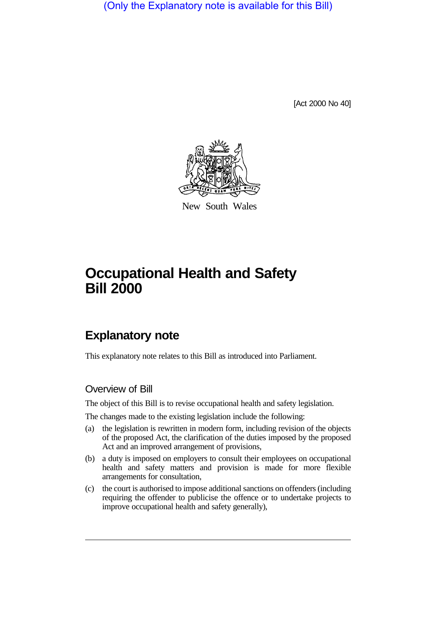(Only the Explanatory note is available for this Bill)

[Act 2000 No 40]



New South Wales

# **Occupational Health and Safety Bill 2000**

# **Explanatory note**

This explanatory note relates to this Bill as introduced into Parliament.

#### Overview of Bill

The object of this Bill is to revise occupational health and safety legislation.

The changes made to the existing legislation include the following:

- (a) the legislation is rewritten in modern form, including revision of the objects of the proposed Act, the clarification of the duties imposed by the proposed Act and an improved arrangement of provisions,
- (b) a duty is imposed on employers to consult their employees on occupational health and safety matters and provision is made for more flexible arrangements for consultation,
- (c) the court is authorised to impose additional sanctions on offenders (including requiring the offender to publicise the offence or to undertake projects to improve occupational health and safety generally),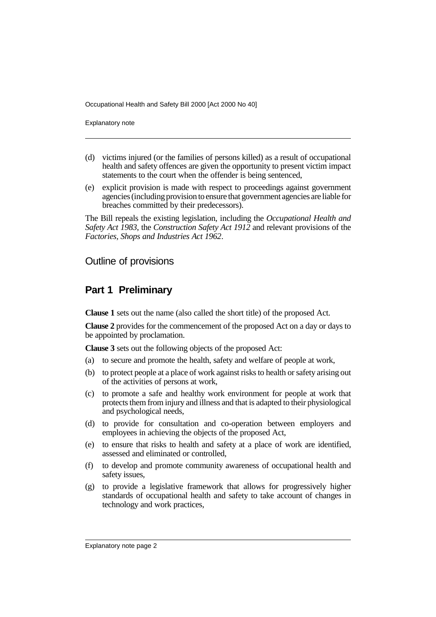Explanatory note

- (d) victims injured (or the families of persons killed) as a result of occupational health and safety offences are given the opportunity to present victim impact statements to the court when the offender is being sentenced,
- (e) explicit provision is made with respect to proceedings against government agencies (including provision to ensure that government agencies are liable for breaches committed by their predecessors).

The Bill repeals the existing legislation, including the *Occupational Health and Safety Act 1983*, the *Construction Safety Act 1912* and relevant provisions of the *Factories, Shops and Industries Act 1962*.

#### Outline of provisions

#### **Part 1 Preliminary**

**Clause 1** sets out the name (also called the short title) of the proposed Act.

**Clause 2** provides for the commencement of the proposed Act on a day or days to be appointed by proclamation.

**Clause 3** sets out the following objects of the proposed Act:

- (a) to secure and promote the health, safety and welfare of people at work,
- (b) to protect people at a place of work against risks to health or safety arising out of the activities of persons at work,
- (c) to promote a safe and healthy work environment for people at work that protects them from injury and illness and that is adapted to their physiological and psychological needs,
- (d) to provide for consultation and co-operation between employers and employees in achieving the objects of the proposed Act,
- (e) to ensure that risks to health and safety at a place of work are identified, assessed and eliminated or controlled,
- (f) to develop and promote community awareness of occupational health and safety issues,
- (g) to provide a legislative framework that allows for progressively higher standards of occupational health and safety to take account of changes in technology and work practices,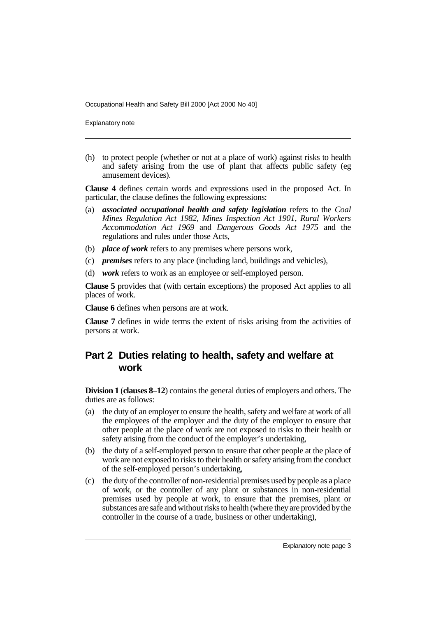Explanatory note

(h) to protect people (whether or not at a place of work) against risks to health and safety arising from the use of plant that affects public safety (eg amusement devices).

**Clause 4** defines certain words and expressions used in the proposed Act. In particular, the clause defines the following expressions:

- (a) *associated occupational health and safety legislation* refers to the *Coal Mines Regulation Act 1982*, *Mines Inspection Act 1901*, *Rural Workers Accommodation Act 1969* and *Dangerous Goods Act 1975* and the regulations and rules under those Acts,
- (b) *place of work* refers to any premises where persons work,
- (c) *premises* refers to any place (including land, buildings and vehicles),
- (d) *work* refers to work as an employee or self-employed person.

**Clause 5** provides that (with certain exceptions) the proposed Act applies to all places of work.

**Clause 6** defines when persons are at work.

**Clause 7** defines in wide terms the extent of risks arising from the activities of persons at work.

# **Part 2 Duties relating to health, safety and welfare at work**

**Division 1** (**clauses 8**–**12**) contains the general duties of employers and others. The duties are as follows:

- (a) the duty of an employer to ensure the health, safety and welfare at work of all the employees of the employer and the duty of the employer to ensure that other people at the place of work are not exposed to risks to their health or safety arising from the conduct of the employer's undertaking,
- (b) the duty of a self-employed person to ensure that other people at the place of work are not exposed to risks to their health or safety arising from the conduct of the self-employed person's undertaking,
- (c) the duty of the controller of non-residential premises used by people as a place of work, or the controller of any plant or substances in non-residential premises used by people at work, to ensure that the premises, plant or substances are safe and without risks to health (where they are provided by the controller in the course of a trade, business or other undertaking),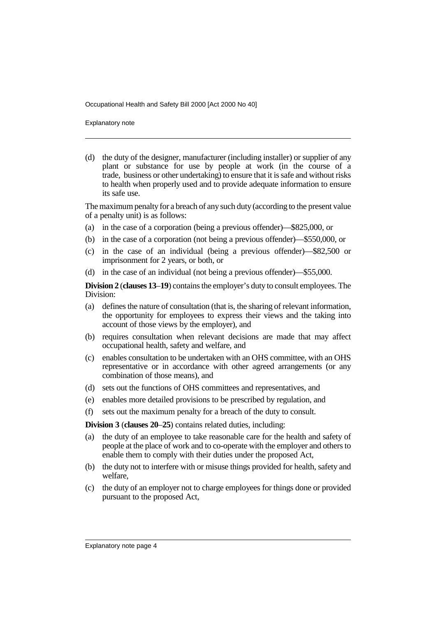Explanatory note

(d) the duty of the designer, manufacturer (including installer) or supplier of any plant or substance for use by people at work (in the course of a trade, business or other undertaking) to ensure that it is safe and without risks to health when properly used and to provide adequate information to ensure its safe use.

The maximum penalty for a breach of any such duty (according to the present value of a penalty unit) is as follows:

- (a) in the case of a corporation (being a previous offender)—\$825,000, or
- (b) in the case of a corporation (not being a previous offender)—\$550,000, or
- (c) in the case of an individual (being a previous offender)—\$82,500 or imprisonment for 2 years, or both, or
- (d) in the case of an individual (not being a previous offender)—\$55,000.

**Division 2** (**clauses 13**–**19**) contains the employer's duty to consult employees. The Division:

- (a) defines the nature of consultation (that is, the sharing of relevant information, the opportunity for employees to express their views and the taking into account of those views by the employer), and
- (b) requires consultation when relevant decisions are made that may affect occupational health, safety and welfare, and
- (c) enables consultation to be undertaken with an OHS committee, with an OHS representative or in accordance with other agreed arrangements (or any combination of those means), and
- (d) sets out the functions of OHS committees and representatives, and
- (e) enables more detailed provisions to be prescribed by regulation, and
- (f) sets out the maximum penalty for a breach of the duty to consult.

**Division 3** (**clauses 20**–**25**) contains related duties, including:

- (a) the duty of an employee to take reasonable care for the health and safety of people at the place of work and to co-operate with the employer and others to enable them to comply with their duties under the proposed Act,
- (b) the duty not to interfere with or misuse things provided for health, safety and welfare,
- (c) the duty of an employer not to charge employees for things done or provided pursuant to the proposed Act,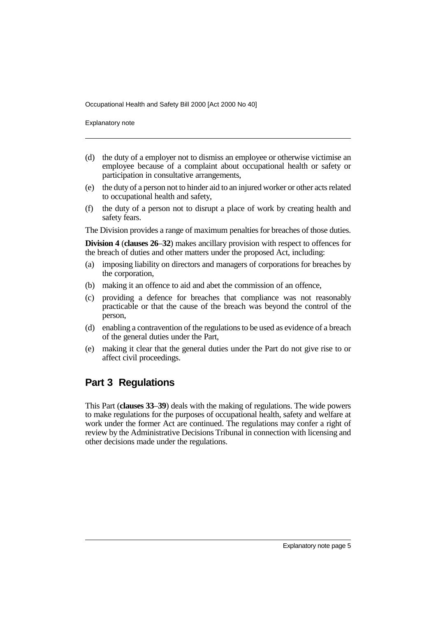Explanatory note

- (d) the duty of a employer not to dismiss an employee or otherwise victimise an employee because of a complaint about occupational health or safety or participation in consultative arrangements,
- (e) the duty of a person not to hinder aid to an injured worker or other acts related to occupational health and safety,
- (f) the duty of a person not to disrupt a place of work by creating health and safety fears.

The Division provides a range of maximum penalties for breaches of those duties.

**Division 4** (**clauses 26**–**32**) makes ancillary provision with respect to offences for the breach of duties and other matters under the proposed Act, including:

- (a) imposing liability on directors and managers of corporations for breaches by the corporation,
- (b) making it an offence to aid and abet the commission of an offence,
- (c) providing a defence for breaches that compliance was not reasonably practicable or that the cause of the breach was beyond the control of the person,
- (d) enabling a contravention of the regulations to be used as evidence of a breach of the general duties under the Part,
- (e) making it clear that the general duties under the Part do not give rise to or affect civil proceedings.

## **Part 3 Regulations**

This Part (**clauses 33**–**39**) deals with the making of regulations. The wide powers to make regulations for the purposes of occupational health, safety and welfare at work under the former Act are continued. The regulations may confer a right of review by the Administrative Decisions Tribunal in connection with licensing and other decisions made under the regulations.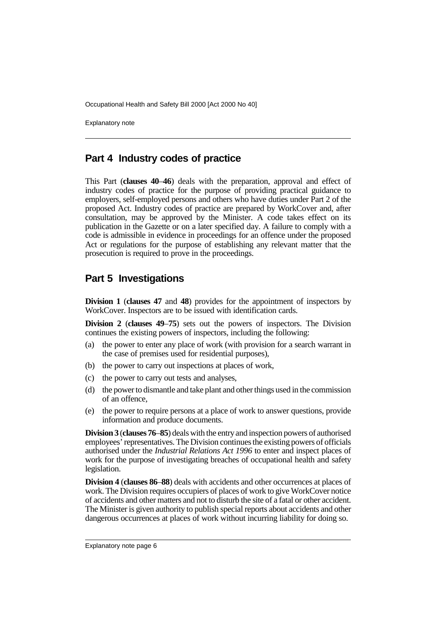Explanatory note

#### **Part 4 Industry codes of practice**

This Part (**clauses 40**–**46**) deals with the preparation, approval and effect of industry codes of practice for the purpose of providing practical guidance to employers, self-employed persons and others who have duties under Part 2 of the proposed Act. Industry codes of practice are prepared by WorkCover and, after consultation, may be approved by the Minister. A code takes effect on its publication in the Gazette or on a later specified day. A failure to comply with a code is admissible in evidence in proceedings for an offence under the proposed Act or regulations for the purpose of establishing any relevant matter that the prosecution is required to prove in the proceedings.

## **Part 5 Investigations**

**Division 1** (**clauses 47** and **48**) provides for the appointment of inspectors by WorkCover. Inspectors are to be issued with identification cards.

**Division 2** (**clauses 49**–**75**) sets out the powers of inspectors. The Division continues the existing powers of inspectors, including the following:

- (a) the power to enter any place of work (with provision for a search warrant in the case of premises used for residential purposes),
- (b) the power to carry out inspections at places of work,
- (c) the power to carry out tests and analyses,
- (d) the power to dismantle and take plant and other things used in the commission of an offence,
- (e) the power to require persons at a place of work to answer questions, provide information and produce documents.

**Division 3** (**clauses 76**–**85**) deals with the entry and inspection powers of authorised employees' representatives. The Division continues the existing powers of officials authorised under the *Industrial Relations Act 1996* to enter and inspect places of work for the purpose of investigating breaches of occupational health and safety legislation.

**Division 4** (**clauses 86**–**88**) deals with accidents and other occurrences at places of work. The Division requires occupiers of places of work to give WorkCover notice of accidents and other matters and not to disturb the site of a fatal or other accident. The Minister is given authority to publish special reports about accidents and other dangerous occurrences at places of work without incurring liability for doing so.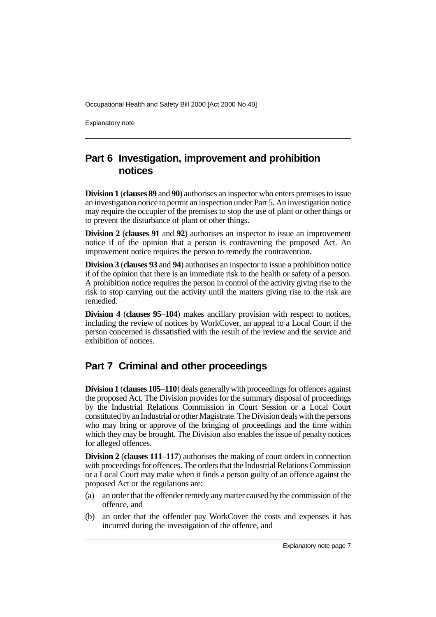Explanatory note

## **Part 6 Investigation, improvement and prohibition notices**

**Division 1** (**clauses 89** and **90**) authorises an inspector who enters premises to issue an investigation notice to permit an inspection under Part 5. An investigation notice may require the occupier of the premises to stop the use of plant or other things or to prevent the disturbance of plant or other things.

**Division 2** (**clauses 91** and **92**) authorises an inspector to issue an improvement notice if of the opinion that a person is contravening the proposed Act. An improvement notice requires the person to remedy the contravention.

**Division 3** (**clauses 93** and **94**) authorises an inspector to issue a prohibition notice if of the opinion that there is an immediate risk to the health or safety of a person. A prohibition notice requires the person in control of the activity giving rise to the risk to stop carrying out the activity until the matters giving rise to the risk are remedied.

**Division 4** (**clauses 95**–**104**) makes ancillary provision with respect to notices, including the review of notices by WorkCover, an appeal to a Local Court if the person concerned is dissatisfied with the result of the review and the service and exhibition of notices.

# **Part 7 Criminal and other proceedings**

**Division 1** (**clauses 105**–**110**) deals generally with proceedings for offences against the proposed Act. The Division provides for the summary disposal of proceedings by the Industrial Relations Commission in Court Session or a Local Court constituted by an Industrial or other Magistrate. The Division deals with the persons who may bring or approve of the bringing of proceedings and the time within which they may be brought. The Division also enables the issue of penalty notices for alleged offences.

**Division 2** (**clauses 111**–**117**) authorises the making of court orders in connection with proceedings for offences. The orders that the Industrial Relations Commission or a Local Court may make when it finds a person guilty of an offence against the proposed Act or the regulations are:

- (a) an order that the offender remedy any matter caused by the commission of the offence, and
- (b) an order that the offender pay WorkCover the costs and expenses it has incurred during the investigation of the offence, and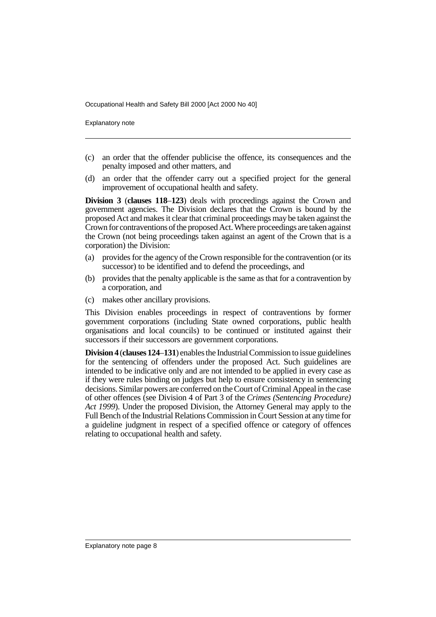Explanatory note

- (c) an order that the offender publicise the offence, its consequences and the penalty imposed and other matters, and
- (d) an order that the offender carry out a specified project for the general improvement of occupational health and safety.

**Division 3** (**clauses 118**–**123**) deals with proceedings against the Crown and government agencies. The Division declares that the Crown is bound by the proposed Act and makes it clear that criminal proceedings may be taken against the Crown for contraventions of the proposed Act. Where proceedings are taken against the Crown (not being proceedings taken against an agent of the Crown that is a corporation) the Division:

- (a) provides for the agency of the Crown responsible for the contravention (or its successor) to be identified and to defend the proceedings, and
- (b) provides that the penalty applicable is the same as that for a contravention by a corporation, and
- (c) makes other ancillary provisions.

This Division enables proceedings in respect of contraventions by former government corporations (including State owned corporations, public health organisations and local councils) to be continued or instituted against their successors if their successors are government corporations.

**Division 4** (**clauses 124**–**131**) enables the Industrial Commission to issue guidelines for the sentencing of offenders under the proposed Act. Such guidelines are intended to be indicative only and are not intended to be applied in every case as if they were rules binding on judges but help to ensure consistency in sentencing decisions. Similar powers are conferred on the Court of Criminal Appeal in the case of other offences (see Division 4 of Part 3 of the *Crimes (Sentencing Procedure) Act 1999*). Under the proposed Division, the Attorney General may apply to the Full Bench of the Industrial Relations Commission in Court Session at any time for a guideline judgment in respect of a specified offence or category of offences relating to occupational health and safety.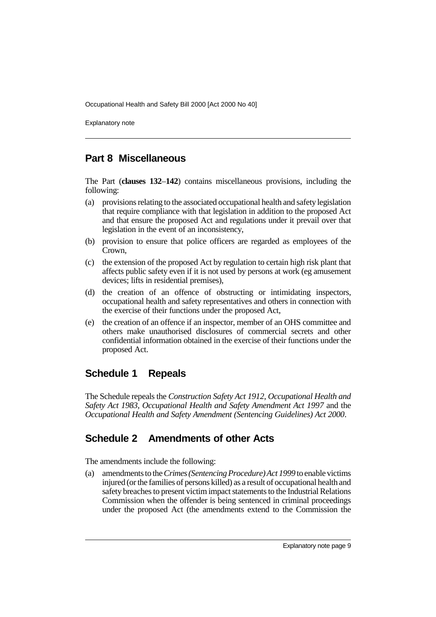Explanatory note

## **Part 8 Miscellaneous**

The Part (**clauses 132**–**142**) contains miscellaneous provisions, including the following:

- (a) provisions relating to the associated occupational health and safety legislation that require compliance with that legislation in addition to the proposed Act and that ensure the proposed Act and regulations under it prevail over that legislation in the event of an inconsistency,
- (b) provision to ensure that police officers are regarded as employees of the Crown,
- (c) the extension of the proposed Act by regulation to certain high risk plant that affects public safety even if it is not used by persons at work (eg amusement devices; lifts in residential premises),
- (d) the creation of an offence of obstructing or intimidating inspectors, occupational health and safety representatives and others in connection with the exercise of their functions under the proposed Act,
- (e) the creation of an offence if an inspector, member of an OHS committee and others make unauthorised disclosures of commercial secrets and other confidential information obtained in the exercise of their functions under the proposed Act.

## **Schedule 1 Repeals**

The Schedule repeals the *Construction Safety Act 1912*, *Occupational Health and Safety Act 1983*, *Occupational Health and Safety Amendment Act 1997* and the *Occupational Health and Safety Amendment (Sentencing Guidelines) Act 2000*.

# **Schedule 2 Amendments of other Acts**

The amendments include the following:

(a) amendments to the *Crimes (Sentencing Procedure) Act 1999* to enable victims injured (or the families of persons killed) as a result of occupational health and safety breaches to present victim impact statements to the Industrial Relations Commission when the offender is being sentenced in criminal proceedings under the proposed Act (the amendments extend to the Commission the